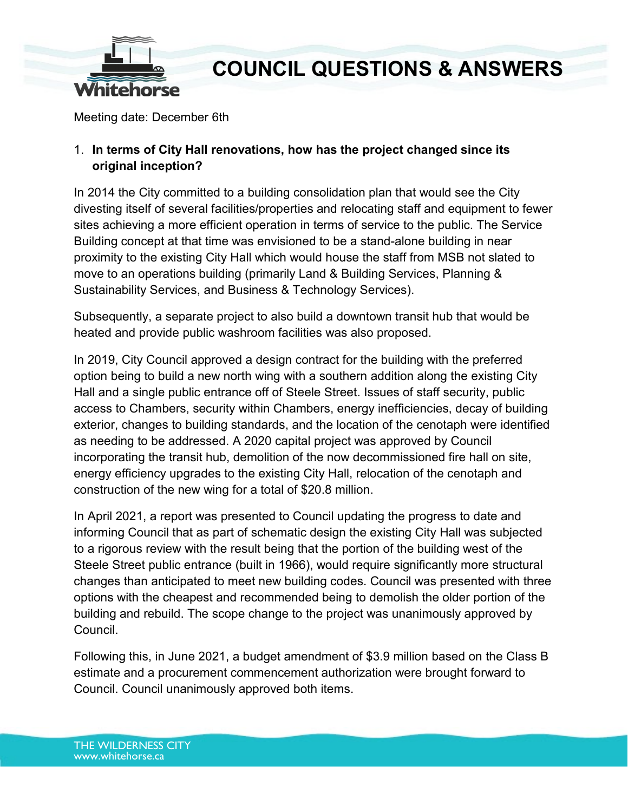

Meeting date: December 6th

### 1. **In terms of City Hall renovations, how has the project changed since its original inception?**

In 2014 the City committed to a building consolidation plan that would see the City divesting itself of several facilities/properties and relocating staff and equipment to fewer sites achieving a more efficient operation in terms of service to the public. The Service Building concept at that time was envisioned to be a stand-alone building in near proximity to the existing City Hall which would house the staff from MSB not slated to move to an operations building (primarily Land & Building Services, Planning & Sustainability Services, and Business & Technology Services).

Subsequently, a separate project to also build a downtown transit hub that would be heated and provide public washroom facilities was also proposed.

In 2019, City Council approved a design contract for the building with the preferred option being to build a new north wing with a southern addition along the existing City Hall and a single public entrance off of Steele Street. Issues of staff security, public access to Chambers, security within Chambers, energy inefficiencies, decay of building exterior, changes to building standards, and the location of the cenotaph were identified as needing to be addressed. A 2020 capital project was approved by Council incorporating the transit hub, demolition of the now decommissioned fire hall on site, energy efficiency upgrades to the existing City Hall, relocation of the cenotaph and construction of the new wing for a total of \$20.8 million.

In April 2021, a report was presented to Council updating the progress to date and informing Council that as part of schematic design the existing City Hall was subjected to a rigorous review with the result being that the portion of the building west of the Steele Street public entrance (built in 1966), would require significantly more structural changes than anticipated to meet new building codes. Council was presented with three options with the cheapest and recommended being to demolish the older portion of the building and rebuild. The scope change to the project was unanimously approved by Council.

Following this, in June 2021, a budget amendment of \$3.9 million based on the Class B estimate and a procurement commencement authorization were brought forward to Council. Council unanimously approved both items.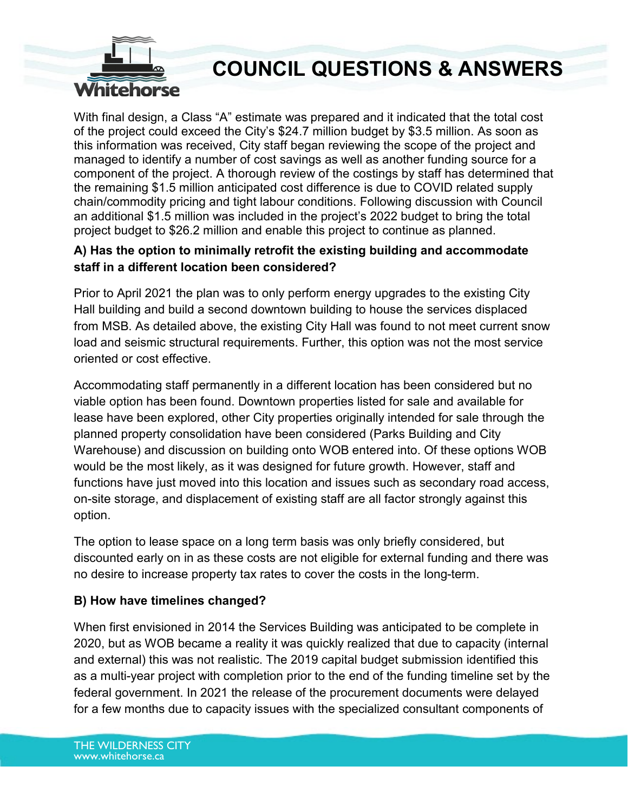

With final design, a Class "A" estimate was prepared and it indicated that the total cost of the project could exceed the City's \$24.7 million budget by \$3.5 million. As soon as this information was received, City staff began reviewing the scope of the project and managed to identify a number of cost savings as well as another funding source for a component of the project. A thorough review of the costings by staff has determined that the remaining \$1.5 million anticipated cost difference is due to COVID related supply chain/commodity pricing and tight labour conditions. Following discussion with Council an additional \$1.5 million was included in the project's 2022 budget to bring the total project budget to \$26.2 million and enable this project to continue as planned.

### **A) Has the option to minimally retrofit the existing building and accommodate staff in a different location been considered?**

Prior to April 2021 the plan was to only perform energy upgrades to the existing City Hall building and build a second downtown building to house the services displaced from MSB. As detailed above, the existing City Hall was found to not meet current snow load and seismic structural requirements. Further, this option was not the most service oriented or cost effective.

Accommodating staff permanently in a different location has been considered but no viable option has been found. Downtown properties listed for sale and available for lease have been explored, other City properties originally intended for sale through the planned property consolidation have been considered (Parks Building and City Warehouse) and discussion on building onto WOB entered into. Of these options WOB would be the most likely, as it was designed for future growth. However, staff and functions have just moved into this location and issues such as secondary road access, on-site storage, and displacement of existing staff are all factor strongly against this option.

The option to lease space on a long term basis was only briefly considered, but discounted early on in as these costs are not eligible for external funding and there was no desire to increase property tax rates to cover the costs in the long-term.

### **B) How have timelines changed?**

When first envisioned in 2014 the Services Building was anticipated to be complete in 2020, but as WOB became a reality it was quickly realized that due to capacity (internal and external) this was not realistic. The 2019 capital budget submission identified this as a multi-year project with completion prior to the end of the funding timeline set by the federal government. In 2021 the release of the procurement documents were delayed for a few months due to capacity issues with the specialized consultant components of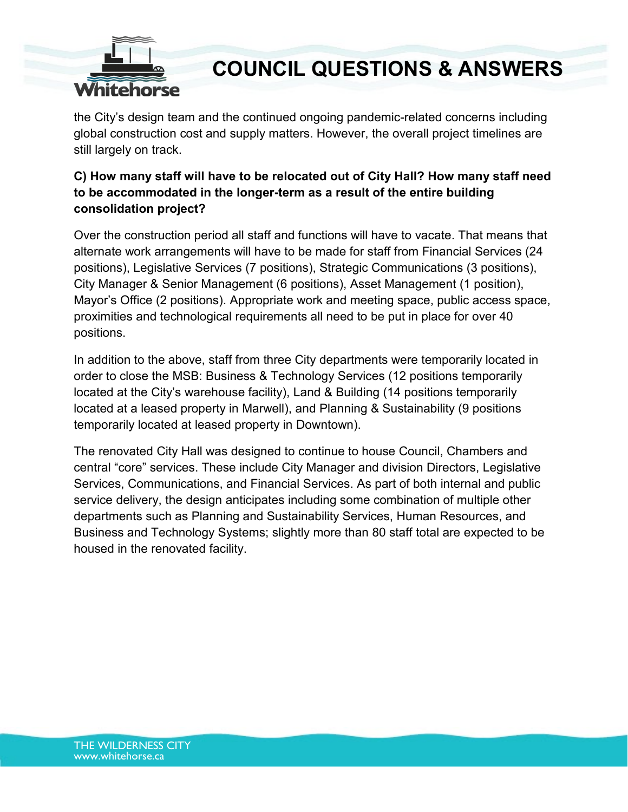

the City's design team and the continued ongoing pandemic-related concerns including global construction cost and supply matters. However, the overall project timelines are still largely on track.

## **C) How many staff will have to be relocated out of City Hall? How many staff need to be accommodated in the longer-term as a result of the entire building consolidation project?**

Over the construction period all staff and functions will have to vacate. That means that alternate work arrangements will have to be made for staff from Financial Services (24 positions), Legislative Services (7 positions), Strategic Communications (3 positions), City Manager & Senior Management (6 positions), Asset Management (1 position), Mayor's Office (2 positions). Appropriate work and meeting space, public access space, proximities and technological requirements all need to be put in place for over 40 positions.

In addition to the above, staff from three City departments were temporarily located in order to close the MSB: Business & Technology Services (12 positions temporarily located at the City's warehouse facility), Land & Building (14 positions temporarily located at a leased property in Marwell), and Planning & Sustainability (9 positions temporarily located at leased property in Downtown).

The renovated City Hall was designed to continue to house Council, Chambers and central "core" services. These include City Manager and division Directors, Legislative Services, Communications, and Financial Services. As part of both internal and public service delivery, the design anticipates including some combination of multiple other departments such as Planning and Sustainability Services, Human Resources, and Business and Technology Systems; slightly more than 80 staff total are expected to be housed in the renovated facility.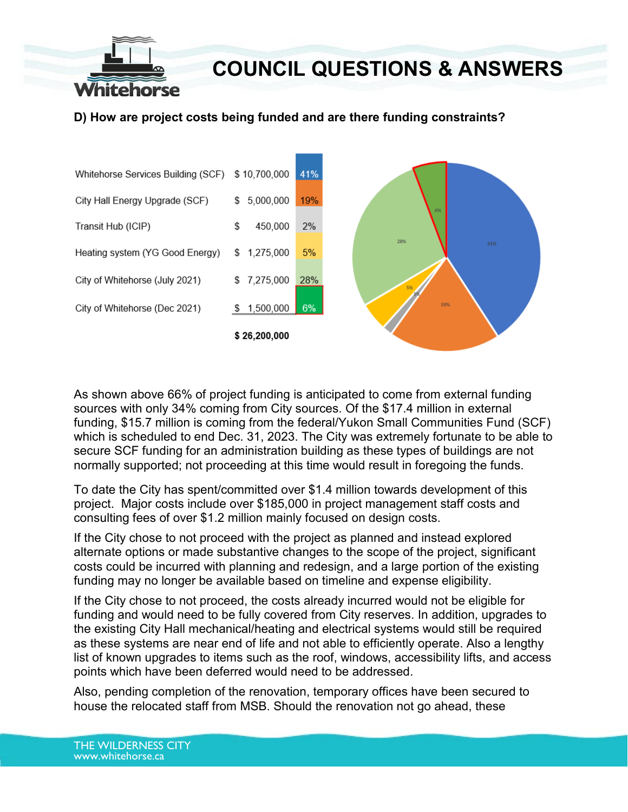

**D) How are project costs being funded and are there funding constraints?**



As shown above 66% of project funding is anticipated to come from external funding sources with only 34% coming from City sources. Of the \$17.4 million in external funding, \$15.7 million is coming from the federal/Yukon Small Communities Fund (SCF) which is scheduled to end Dec. 31, 2023. The City was extremely fortunate to be able to secure SCF funding for an administration building as these types of buildings are not normally supported; not proceeding at this time would result in foregoing the funds.

To date the City has spent/committed over \$1.4 million towards development of this project. Major costs include over \$185,000 in project management staff costs and consulting fees of over \$1.2 million mainly focused on design costs.

If the City chose to not proceed with the project as planned and instead explored alternate options or made substantive changes to the scope of the project, significant costs could be incurred with planning and redesign, and a large portion of the existing funding may no longer be available based on timeline and expense eligibility.

If the City chose to not proceed, the costs already incurred would not be eligible for funding and would need to be fully covered from City reserves. In addition, upgrades to the existing City Hall mechanical/heating and electrical systems would still be required as these systems are near end of life and not able to efficiently operate. Also a lengthy list of known upgrades to items such as the roof, windows, accessibility lifts, and access points which have been deferred would need to be addressed.

Also, pending completion of the renovation, temporary offices have been secured to house the relocated staff from MSB. Should the renovation not go ahead, these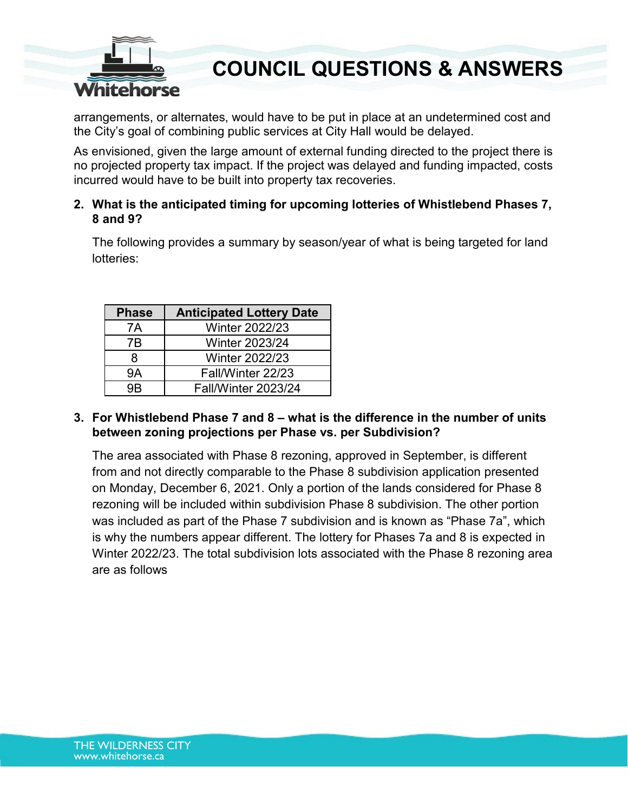

arrangements, or alternates, would have to be put in place at an undetermined cost and the City's goal of combining public services at City Hall would be delayed.

As envisioned, given the large amount of external funding directed to the project there is no projected property tax impact. If the project was delayed and funding impacted, costs incurred would have to be built into property tax recoveries.

#### **2. What is the anticipated timing for upcoming lotteries of Whistlebend Phases 7, 8 and 9?**

The following provides a summary by season/year of what is being targeted for land lotteries:

| <b>Phase</b> | <b>Anticipated Lottery Date</b> |  |  |
|--------------|---------------------------------|--|--|
| 7A           | <b>Winter 2022/23</b>           |  |  |
| 7Β           | <b>Winter 2023/24</b>           |  |  |
| 8            | <b>Winter 2022/23</b>           |  |  |
| 9Α           | Fall/Winter 22/23               |  |  |
| aR           | <b>Fall/Winter 2023/24</b>      |  |  |

#### **3. For Whistlebend Phase 7 and 8 – what is the difference in the number of units between zoning projections per Phase vs. per Subdivision?**

The area associated with Phase 8 rezoning, approved in September, is different from and not directly comparable to the Phase 8 subdivision application presented on Monday, December 6, 2021. Only a portion of the lands considered for Phase 8 rezoning will be included within subdivision Phase 8 subdivision. The other portion was included as part of the Phase 7 subdivision and is known as "Phase 7a", which is why the numbers appear different. The lottery for Phases 7a and 8 is expected in Winter 2022/23. The total subdivision lots associated with the Phase 8 rezoning area are as follows